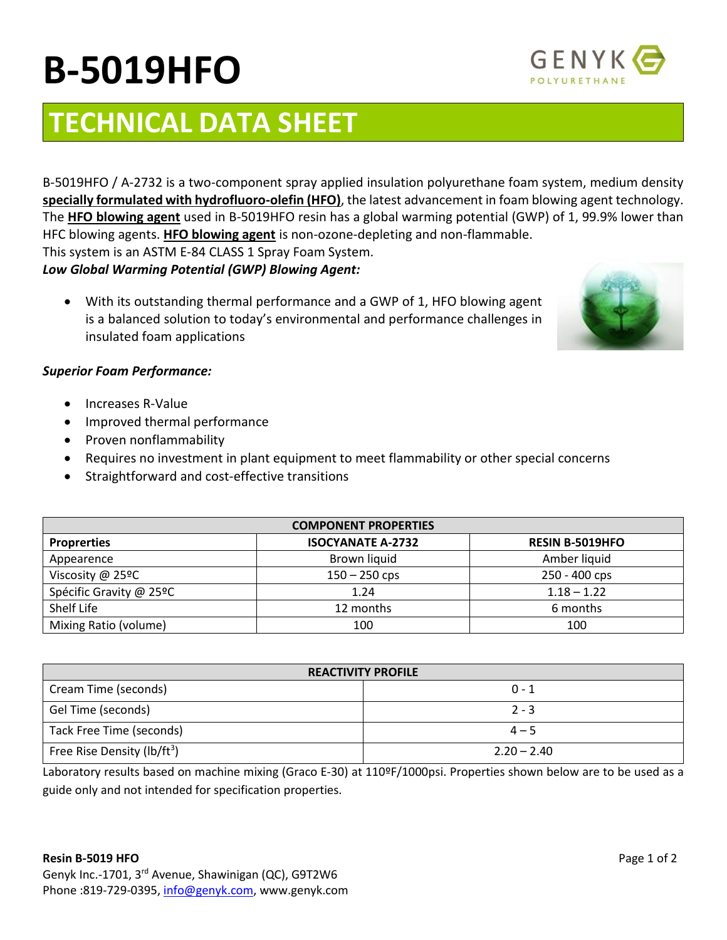# **B-5019HFO**

## **TECHNICAL DATA SHEET**

B-5019HFO / A-2732 is a two-component spray applied insulation polyurethane foam system, medium density **specially formulated with hydrofluoro-olefin (HFO)**, the latest advancement in foam blowing agent technology. The **HFO blowing agent** used in B-5019HFO resin has a global warming potential (GWP) of 1, 99.9% lower than HFC blowing agents. **HFO blowing agent** is non-ozone-depleting and non-flammable.

This system is an ASTM E-84 CLASS 1 Spray Foam System.

*Low Global Warming Potential (GWP) Blowing Agent:*

• With its outstanding thermal performance and a GWP of 1, HFO blowing agent is a balanced solution to today's environmental and performance challenges in insulated foam applications

### *Superior Foam Performance:*

- Increases R-Value
- Improved thermal performance
- Proven nonflammability
- Requires no investment in plant equipment to meet flammability or other special concerns
- Straightforward and cost-effective transitions

| <b>COMPONENT PROPERTIES</b> |                          |                        |  |
|-----------------------------|--------------------------|------------------------|--|
| <b>Proprerties</b>          | <b>ISOCYANATE A-2732</b> | <b>RESIN B-5019HFO</b> |  |
| Appearence                  | Brown liquid             | Amber liquid           |  |
| Viscosity @ 25ºC            | $150 - 250$ cps          | 250 - 400 cps          |  |
| Spécific Gravity @ 25ºC     | 1.24                     | $1.18 - 1.22$          |  |
| Shelf Life                  | 12 months                | 6 months               |  |
| Mixing Ratio (volume)       | 100                      | 100                    |  |

| <b>REACTIVITY PROFILE</b>               |               |  |  |
|-----------------------------------------|---------------|--|--|
| Cream Time (seconds)                    | $0 - 1$       |  |  |
| Gel Time (seconds)                      | $2 - 3$       |  |  |
| Tack Free Time (seconds)                | $4 - 5$       |  |  |
| Free Rise Density (lb/ft <sup>3</sup> ) | $2.20 - 2.40$ |  |  |

Laboratory results based on machine mixing (Graco E-30) at 110ºF/1000psi. Properties shown below are to be used as a guide only and not intended for specification properties.